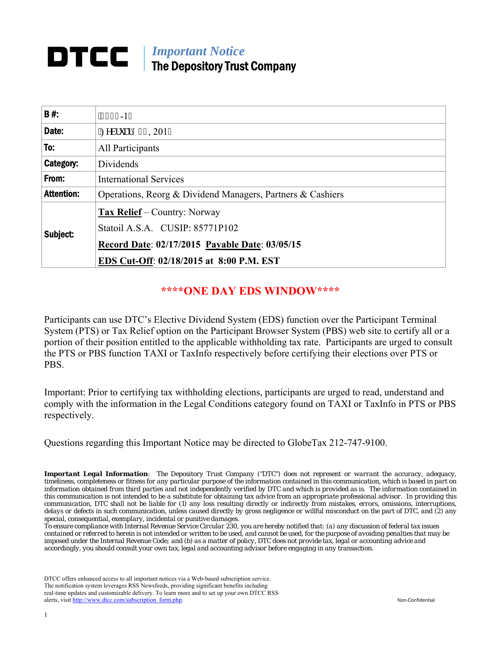#### *Important Notice*  DTCC I The Depository Trust Company

| B#:               | $'233: -17$                                                |  |
|-------------------|------------------------------------------------------------|--|
| Date:             | "Hgdtwct { 34, 2017                                        |  |
| To:               | All Participants                                           |  |
| Category:         | Dividends                                                  |  |
| From:             | <b>International Services</b>                              |  |
| <b>Attention:</b> | Operations, Reorg & Dividend Managers, Partners & Cashiers |  |
|                   | <b>Tax Relief</b> – Country: Norway                        |  |
| Subject:          | Statoil A.S.A. CUSIP: 85771P102                            |  |
|                   | Record Date: 02/17/2015 Payable Date: 03/05/15             |  |
|                   | EDS Cut-Off: 02/18/2015 at 8:00 P.M. EST                   |  |

### **\*\*\*\*ONE DAY EDS WINDOW\*\*\*\***

Participants can use DTC's Elective Dividend System (EDS) function over the Participant Terminal System (PTS) or Tax Relief option on the Participant Browser System (PBS) web site to certify all or a portion of their position entitled to the applicable withholding tax rate. Participants are urged to consult the PTS or PBS function TAXI or TaxInfo respectively before certifying their elections over PTS or PBS.

Important: Prior to certifying tax withholding elections, participants are urged to read, understand and comply with the information in the Legal Conditions category found on TAXI or TaxInfo in PTS or PBS respectively.

Questions regarding this Important Notice may be directed to GlobeTax 212-747-9100.

*Important Legal Information: The Depository Trust Company ("DTC") does not represent or warrant the accuracy, adequacy, timeliness, completeness or fitness for any particular purpose of the information contained in this communication, which is based in part on information obtained from third parties and not independently verified by DTC and which is provided as is. The information contained in this communication is not intended to be a substitute for obtaining tax advice from an appropriate professional advisor. In providing this communication, DTC shall not be liable for (1) any loss resulting directly or indirectly from mistakes, errors, omissions, interruptions, delays or defects in such communication, unless caused directly by gross negligence or willful misconduct on the part of DTC, and (2) any special, consequential, exemplary, incidental or punitive damages.* 

*To ensure compliance with Internal Revenue Service Circular 230, you are hereby notified that: (a) any discussion of federal tax issues contained or referred to herein is not intended or written to be used, and cannot be used, for the purpose of avoiding penalties that may be imposed under the Internal Revenue Code; and (b) as a matter of policy, DTC does not provide tax, legal or accounting advice and accordingly, you should consult your own tax, legal and accounting advisor before engaging in any transaction.*

DTCC offers enhanced access to all important notices via a Web-based subscription service. The notification system leverages RSS Newsfeeds, providing significant benefits including real-time updates and customizable delivery. To learn more and to set up your own DTCC RSS alerts, visit http://www.dtcc.com/subscription\_form.php. Non-Confidential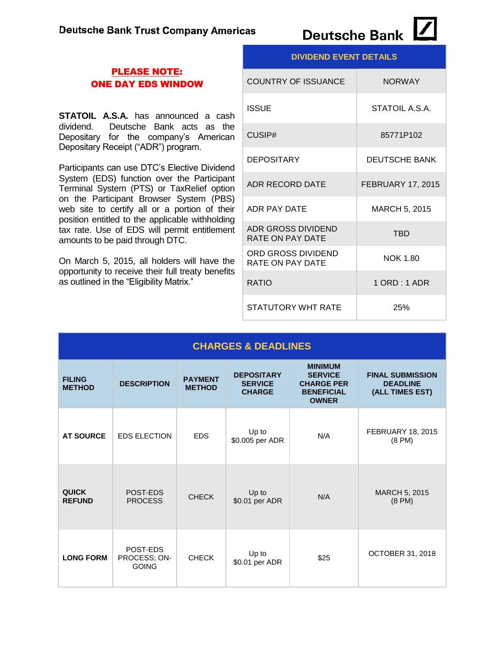#### PLEASE NOTE: ONE DAY EDS WINDOW

**STATOIL A.S.A.** has announced a cash dividend. Deutsche Bank acts as the Depositary for the company's American Depositary Receipt ("ADR") program.

Participants can use DTC's Elective Dividend System (EDS) function over the Participant Terminal System (PTS) or TaxRelief option on the Participant Browser System (PBS) web site to certify all or a portion of their position entitled to the applicable withholding tax rate. Use of EDS will permit entitlement amounts to be paid through DTC.

On March 5, 2015, all holders will have the opportunity to receive their full treaty benefits as outlined in the "Eligibility Matrix."

| <b>DIVIDEND EVENT DETAILS</b>          |                          |  |
|----------------------------------------|--------------------------|--|
| <b>COUNTRY OF ISSUANCE</b>             | <b>NORWAY</b>            |  |
| <b>ISSUE</b>                           | STATOIL A.S.A.           |  |
| CUSIP#                                 | 85771P102                |  |
| <b>DEPOSITARY</b>                      | <b>DEUTSCHE BANK</b>     |  |
| ADR RECORD DATE                        | <b>FEBRUARY 17, 2015</b> |  |
| ADR PAY DATE                           | MARCH 5, 2015            |  |
| ADR GROSS DIVIDEND<br>RATE ON PAY DATE | <b>TBD</b>               |  |
| ORD GROSS DIVIDEND<br>RATE ON PAY DATE | <b>NOK 1.80</b>          |  |
| <b>RATIO</b>                           | 1 ORD : 1 ADR            |  |
| STATUTORY WHT RATE                     | 25%                      |  |

| <b>CHARGES &amp; DEADLINES</b> |                                          |                                 |                                                      |                                                                                            |                                                               |
|--------------------------------|------------------------------------------|---------------------------------|------------------------------------------------------|--------------------------------------------------------------------------------------------|---------------------------------------------------------------|
| <b>FILING</b><br><b>METHOD</b> | <b>DESCRIPTION</b>                       | <b>PAYMENT</b><br><b>METHOD</b> | <b>DEPOSITARY</b><br><b>SERVICE</b><br><b>CHARGE</b> | <b>MINIMUM</b><br><b>SERVICE</b><br><b>CHARGE PER</b><br><b>BENEFICIAL</b><br><b>OWNER</b> | <b>FINAL SUBMISSION</b><br><b>DEADLINE</b><br>(ALL TIMES EST) |
| <b>AT SOURCE</b>               | <b>EDS ELECTION</b>                      | <b>EDS</b>                      | Up to<br>\$0.005 per ADR                             | N/A                                                                                        | <b>FEBRUARY 18, 2015</b><br>$(8 \text{ PM})$                  |
| <b>QUICK</b><br><b>REFUND</b>  | POST-EDS<br><b>PROCESS</b>               | <b>CHECK</b>                    | Up to<br>\$0.01 per ADR                              | N/A                                                                                        | MARCH 5, 2015<br>$(8 \text{ PM})$                             |
| <b>LONG FORM</b>               | POST-EDS<br>PROCESS; ON-<br><b>GOING</b> | <b>CHECK</b>                    | Up to<br>\$0.01 per ADR                              | \$25                                                                                       | OCTOBER 31, 2018                                              |

# Deutsche Bank [4]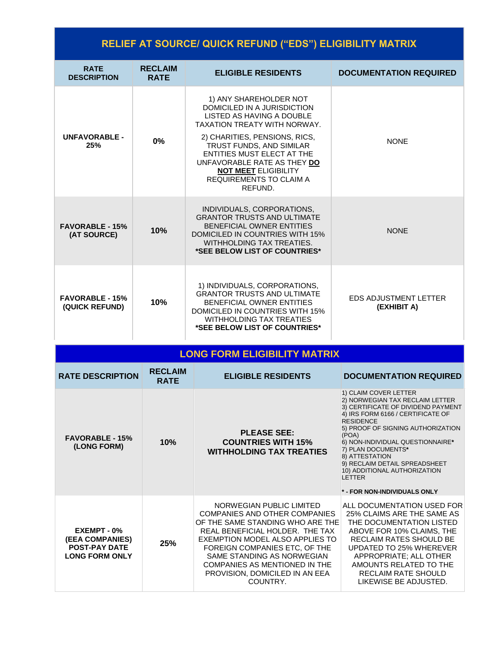| <b>RELIEF AT SOURCE/ QUICK REFUND ("EDS") ELIGIBILITY MATRIX</b>                       |                               |                                                                                                                                                                                                                                                                                                                          |                                                                                                                                                                                                                                                                                                                                                                     |
|----------------------------------------------------------------------------------------|-------------------------------|--------------------------------------------------------------------------------------------------------------------------------------------------------------------------------------------------------------------------------------------------------------------------------------------------------------------------|---------------------------------------------------------------------------------------------------------------------------------------------------------------------------------------------------------------------------------------------------------------------------------------------------------------------------------------------------------------------|
| <b>RATE</b><br><b>DESCRIPTION</b>                                                      | <b>RECLAIM</b><br><b>RATE</b> | <b>ELIGIBLE RESIDENTS</b>                                                                                                                                                                                                                                                                                                | <b>DOCUMENTATION REQUIRED</b>                                                                                                                                                                                                                                                                                                                                       |
| <b>UNFAVORABLE -</b><br>25%                                                            | $0\%$                         | 1) ANY SHAREHOLDER NOT<br>DOMICILED IN A JURISDICTION<br>LISTED AS HAVING A DOUBLE<br><b>TAXATION TREATY WITH NORWAY.</b><br>2) CHARITIES, PENSIONS, RICS,<br>TRUST FUNDS, AND SIMILAR<br>ENTITIES MUST ELECT AT THE<br>UNFAVORABLE RATE AS THEY DO<br><b>NOT MEET ELIGIBILITY</b><br>REQUIREMENTS TO CLAIM A<br>REFUND. | <b>NONE</b>                                                                                                                                                                                                                                                                                                                                                         |
| <b>FAVORABLE - 15%</b><br>(AT SOURCE)                                                  | 10%                           | INDIVIDUALS, CORPORATIONS,<br><b>GRANTOR TRUSTS AND ULTIMATE</b><br><b>BENEFICIAL OWNER ENTITIES</b><br><b>DOMICILED IN COUNTRIES WITH 15%</b><br>WITHHOLDING TAX TREATIES.<br>*SEE BELOW LIST OF COUNTRIES*                                                                                                             | <b>NONE</b>                                                                                                                                                                                                                                                                                                                                                         |
| <b>FAVORABLE - 15%</b><br>(QUICK REFUND)                                               | 10%                           | 1) INDIVIDUALS, CORPORATIONS,<br><b>GRANTOR TRUSTS AND ULTIMATE</b><br>BENEFICIAL OWNER ENTITIES<br>DOMICILED IN COUNTRIES WITH 15%<br><b>WITHHOLDING TAX TREATIES</b><br>*SEE BELOW LIST OF COUNTRIES*                                                                                                                  | <b>EDS ADJUSTMENT LETTER</b><br>(EXHIBIT A)                                                                                                                                                                                                                                                                                                                         |
|                                                                                        |                               | <b>LONG FORM ELIGIBILITY MATRIX</b>                                                                                                                                                                                                                                                                                      |                                                                                                                                                                                                                                                                                                                                                                     |
| <b>RATE DESCRIPTION</b>                                                                | <b>RECLAIM</b><br><b>RATE</b> | <b>ELIGIBLE RESIDENTS</b>                                                                                                                                                                                                                                                                                                | <b>DOCUMENTATION REQUIRED</b>                                                                                                                                                                                                                                                                                                                                       |
| <b>FAVORABLE - 15%</b><br>(LONG FORM)                                                  | 10%                           | <b>PLEASE SEE:</b><br><b>COUNTRIES WITH 15%</b><br><b>WITHHOLDING TAX TREATIES</b>                                                                                                                                                                                                                                       | 1) CLAIM COVER LETTER<br>2) NORWEGIAN TAX RECLAIM LETTER<br>3) CERTIFICATE OF DIVIDEND PAYMENT<br>4) IRS FORM 6166 / CERTIFICATE OF<br><b>RESIDENCE</b><br>5) PROOF OF SIGNING AUTHORIZATION<br>(POA)<br>6) NON-INDIVIDUAL QUESTIONNAIRE*<br>7) PLAN DOCUMENTS*<br>8) ATTESTATION<br>9) RECLAIM DETAIL SPREADSHEET<br>10) ADDITIONAL AUTHORIZATION<br><b>LETTER</b> |
|                                                                                        |                               |                                                                                                                                                                                                                                                                                                                          | * - FOR NON-INDIVIDUALS ONLY                                                                                                                                                                                                                                                                                                                                        |
| EXEMPT - 0%<br><b>(EEA COMPANIES)</b><br><b>POST-PAY DATE</b><br><b>LONG FORM ONLY</b> | 25%                           | NORWEGIAN PUBLIC LIMITED<br><b>COMPANIES AND OTHER COMPANIES</b><br>OF THE SAME STANDING WHO ARE THE<br>REAL BENEFICIAL HOLDER. THE TAX<br>EXEMPTION MODEL ALSO APPLIES TO<br>FOREIGN COMPANIES ETC, OF THE<br>SAME STANDING AS NORWEGIAN<br>COMPANIES AS MENTIONED IN THE<br>PROVISION, DOMICILED IN AN EEA<br>COUNTRY. | ALL DOCUMENTATION USED FOR<br>25% CLAIMS ARE THE SAME AS<br>THE DOCUMENTATION LISTED<br>ABOVE FOR 10% CLAIMS, THE<br>RECLAIM RATES SHOULD BE<br>UPDATED TO 25% WHEREVER<br>APPROPRIATE; ALL OTHER<br>AMOUNTS RELATED TO THE<br>RECLAIM RATE SHOULD<br>LIKEWISE BE ADJUSTED.                                                                                         |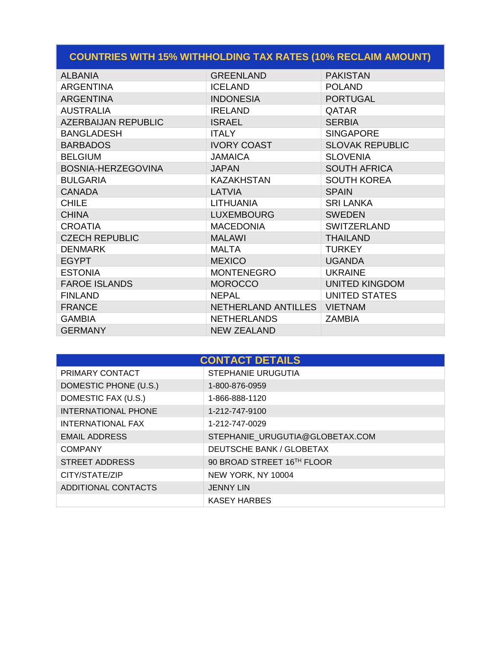| <b>COUNTRIES WITH 15% WITHHOLDING TAX RATES (10% RECLAIM AMOUNT)</b> |                     |                        |  |
|----------------------------------------------------------------------|---------------------|------------------------|--|
| <b>ALBANIA</b>                                                       | <b>GREENLAND</b>    | <b>PAKISTAN</b>        |  |
| <b>ARGENTINA</b>                                                     | <b>ICELAND</b>      | <b>POLAND</b>          |  |
| <b>ARGENTINA</b>                                                     | <b>INDONESIA</b>    | <b>PORTUGAL</b>        |  |
| <b>AUSTRALIA</b>                                                     | <b>IRELAND</b>      | QATAR                  |  |
| <b>AZERBAIJAN REPUBLIC</b>                                           | <b>ISRAEL</b>       | <b>SERBIA</b>          |  |
| <b>BANGLADESH</b>                                                    | <b>ITALY</b>        | <b>SINGAPORE</b>       |  |
| <b>BARBADOS</b>                                                      | <b>IVORY COAST</b>  | <b>SLOVAK REPUBLIC</b> |  |
| <b>BELGIUM</b>                                                       | <b>JAMAICA</b>      | <b>SLOVENIA</b>        |  |
| BOSNIA-HERZEGOVINA                                                   | <b>JAPAN</b>        | <b>SOUTH AFRICA</b>    |  |
| <b>BULGARIA</b>                                                      | <b>KAZAKHSTAN</b>   | <b>SOUTH KOREA</b>     |  |
| <b>CANADA</b>                                                        | LATVIA              | <b>SPAIN</b>           |  |
| <b>CHILE</b>                                                         | <b>LITHUANIA</b>    | <b>SRI LANKA</b>       |  |
| <b>CHINA</b>                                                         | <b>LUXEMBOURG</b>   | <b>SWEDEN</b>          |  |
| <b>CROATIA</b>                                                       | <b>MACEDONIA</b>    | <b>SWITZERLAND</b>     |  |
| <b>CZECH REPUBLIC</b>                                                | <b>MALAWI</b>       | <b>THAILAND</b>        |  |
| <b>DENMARK</b>                                                       | <b>MALTA</b>        | <b>TURKEY</b>          |  |
| <b>EGYPT</b>                                                         | <b>MEXICO</b>       | <b>UGANDA</b>          |  |
| <b>ESTONIA</b>                                                       | <b>MONTENEGRO</b>   | <b>UKRAINE</b>         |  |
| <b>FAROE ISLANDS</b>                                                 | <b>MOROCCO</b>      | <b>UNITED KINGDOM</b>  |  |
| <b>FINLAND</b>                                                       | <b>NEPAL</b>        | <b>UNITED STATES</b>   |  |
| <b>FRANCE</b>                                                        | NETHERLAND ANTILLES | <b>VIETNAM</b>         |  |
| <b>GAMBIA</b>                                                        | <b>NETHERLANDS</b>  | <b>ZAMBIA</b>          |  |
| <b>GERMANY</b>                                                       | <b>NEW ZEALAND</b>  |                        |  |

| <b>CONTACT DETAILS</b>     |                                 |  |
|----------------------------|---------------------------------|--|
| PRIMARY CONTACT            | <b>STEPHANIE URUGUTIA</b>       |  |
| DOMESTIC PHONE (U.S.)      | 1-800-876-0959                  |  |
| DOMESTIC FAX (U.S.)        | 1-866-888-1120                  |  |
| <b>INTERNATIONAL PHONE</b> | 1-212-747-9100                  |  |
| INTERNATIONAL FAX          | 1-212-747-0029                  |  |
| <b>EMAIL ADDRESS</b>       | STEPHANIE URUGUTIA@GLOBETAX.COM |  |
| <b>COMPANY</b>             | DEUTSCHE BANK / GLOBETAX        |  |
| <b>STREET ADDRESS</b>      | 90 BROAD STREET 16TH FLOOR      |  |
| CITY/STATE/ZIP             | NEW YORK, NY 10004              |  |
| <b>ADDITIONAL CONTACTS</b> | <b>JENNY LIN</b>                |  |
|                            | <b>KASEY HARBES</b>             |  |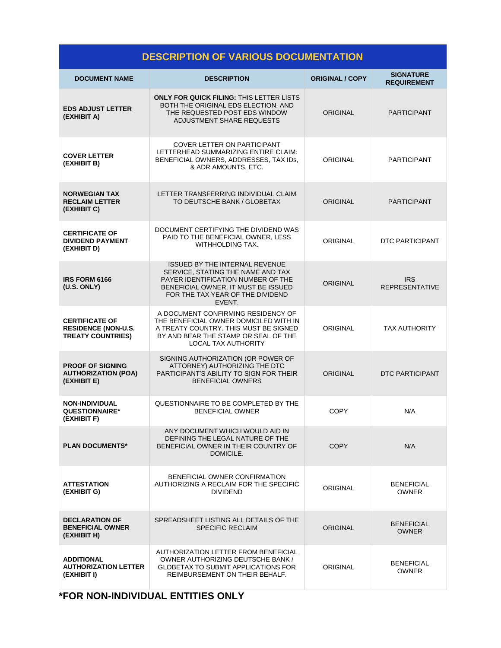| <b>DESCRIPTION OF VARIOUS DOCUMENTATION</b>                                     |                                                                                                                                                                                                       |                        |                                        |
|---------------------------------------------------------------------------------|-------------------------------------------------------------------------------------------------------------------------------------------------------------------------------------------------------|------------------------|----------------------------------------|
| <b>DOCUMENT NAME</b>                                                            | <b>DESCRIPTION</b>                                                                                                                                                                                    | <b>ORIGINAL / COPY</b> | <b>SIGNATURE</b><br><b>REQUIREMENT</b> |
| <b>EDS ADJUST LETTER</b><br>(EXHIBIT A)                                         | <b>ONLY FOR QUICK FILING: THIS LETTER LISTS</b><br>BOTH THE ORIGINAL EDS ELECTION, AND<br>THE REQUESTED POST EDS WINDOW<br>ADJUSTMENT SHARE REQUESTS                                                  | <b>ORIGINAL</b>        | <b>PARTICIPANT</b>                     |
| <b>COVER LETTER</b><br>(EXHIBIT B)                                              | <b>COVER LETTER ON PARTICIPANT</b><br>LETTERHEAD SUMMARIZING ENTIRE CLAIM:<br>BENEFICIAL OWNERS, ADDRESSES, TAX IDs,<br>& ADR AMOUNTS, ETC.                                                           | <b>ORIGINAL</b>        | <b>PARTICIPANT</b>                     |
| <b>NORWEGIAN TAX</b><br><b>RECLAIM LETTER</b><br>(EXHIBIT C)                    | LETTER TRANSFERRING INDIVIDUAL CLAIM<br>TO DEUTSCHE BANK / GLOBETAX                                                                                                                                   | <b>ORIGINAL</b>        | <b>PARTICIPANT</b>                     |
| <b>CERTIFICATE OF</b><br><b>DIVIDEND PAYMENT</b><br>(EXHIBIT D)                 | DOCUMENT CERTIFYING THE DIVIDEND WAS<br>PAID TO THE BENEFICIAL OWNER, LESS<br>WITHHOLDING TAX.                                                                                                        | ORIGINAL               | <b>DTC PARTICIPANT</b>                 |
| IRS FORM 6166<br>(U.S. ONLY)                                                    | <b>ISSUED BY THE INTERNAL REVENUE</b><br>SERVICE. STATING THE NAME AND TAX<br>PAYER IDENTIFICATION NUMBER OF THE<br>BENEFICIAL OWNER. IT MUST BE ISSUED<br>FOR THE TAX YEAR OF THE DIVIDEND<br>EVENT. | <b>ORIGINAL</b>        | <b>IRS</b><br><b>REPRESENTATIVE</b>    |
| <b>CERTIFICATE OF</b><br><b>RESIDENCE (NON-U.S.</b><br><b>TREATY COUNTRIES)</b> | A DOCUMENT CONFIRMING RESIDENCY OF<br>THE BENEFICIAL OWNER DOMICILED WITH IN<br>A TREATY COUNTRY. THIS MUST BE SIGNED<br>BY AND BEAR THE STAMP OR SEAL OF THE<br>LOCAL TAX AUTHORITY                  | <b>ORIGINAL</b>        | <b>TAX AUTHORITY</b>                   |
| <b>PROOF OF SIGNING</b><br><b>AUTHORIZATION (POA)</b><br>(EXHIBIT E)            | SIGNING AUTHORIZATION (OR POWER OF<br>ATTORNEY) AUTHORIZING THE DTC<br>PARTICIPANT'S ABILITY TO SIGN FOR THEIR<br><b>BENEFICIAL OWNERS</b>                                                            | <b>ORIGINAL</b>        | <b>DTC PARTICIPANT</b>                 |
| <b>NON-INDIVIDUAL</b><br><b>QUESTIONNAIRE*</b><br>(EXHIBIT F)                   | QUESTIONNAIRE TO BE COMPLETED BY THE<br><b>BENEFICIAL OWNER</b>                                                                                                                                       | COPY                   | N/A                                    |
| <b>PLAN DOCUMENTS*</b>                                                          | ANY DOCUMENT WHICH WOULD AID IN<br>DEFINING THE LEGAL NATURE OF THE<br>BENEFICIAL OWNER IN THEIR COUNTRY OF<br>DOMICILE.                                                                              | <b>COPY</b>            | N/A                                    |
| <b>ATTESTATION</b><br>(EXHIBIT G)                                               | BENEFICIAL OWNER CONFIRMATION<br>AUTHORIZING A RECLAIM FOR THE SPECIFIC<br><b>DIVIDEND</b>                                                                                                            | ORIGINAL               | <b>BENEFICIAL</b><br><b>OWNER</b>      |
| <b>DECLARATION OF</b><br><b>BENEFICIAL OWNER</b><br>(EXHIBIT H)                 | SPREADSHEET LISTING ALL DETAILS OF THE<br><b>SPECIFIC RECLAIM</b>                                                                                                                                     | <b>ORIGINAL</b>        | <b>BENEFICIAL</b><br><b>OWNER</b>      |
| ADDITIONAL<br><b>AUTHORIZATION LETTER</b><br>(EXHIBIT I)                        | AUTHORIZATION LETTER FROM BENEFICIAL<br>OWNER AUTHORIZING DEUTSCHE BANK /<br><b>GLOBETAX TO SUBMIT APPLICATIONS FOR</b><br>REIMBURSEMENT ON THEIR BEHALF.                                             | ORIGINAL               | <b>BENEFICIAL</b><br><b>OWNER</b>      |

## **\*FOR NON-INDIVIDUAL ENTITIES ONLY**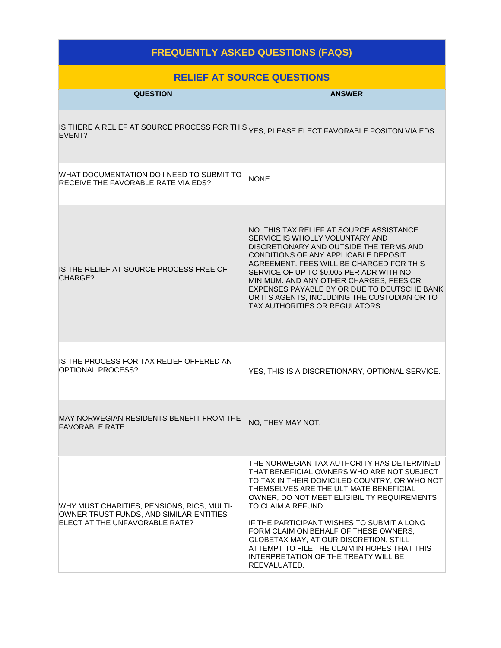### **FREQUENTLY ASKED QUESTIONS (FAQS)**

| <b>RELIEF AT SOURCE QUESTIONS</b>                                                                                       |                                                                                                                                                                                                                                                                                                                                                                                                                                                                                                   |  |  |
|-------------------------------------------------------------------------------------------------------------------------|---------------------------------------------------------------------------------------------------------------------------------------------------------------------------------------------------------------------------------------------------------------------------------------------------------------------------------------------------------------------------------------------------------------------------------------------------------------------------------------------------|--|--|
| <b>QUESTION</b>                                                                                                         | <b>ANSWER</b>                                                                                                                                                                                                                                                                                                                                                                                                                                                                                     |  |  |
| EVENT?                                                                                                                  | IS THERE A RELIEF AT SOURCE PROCESS FOR THIS YES, PLEASE ELECT FAVORABLE POSITON VIA EDS.                                                                                                                                                                                                                                                                                                                                                                                                         |  |  |
| WHAT DOCUMENTATION DO I NEED TO SUBMIT TO<br>RECEIVE THE FAVORABLE RATE VIA EDS?                                        | NONE.                                                                                                                                                                                                                                                                                                                                                                                                                                                                                             |  |  |
| IS THE RELIEF AT SOURCE PROCESS FREE OF<br>CHARGE?                                                                      | NO. THIS TAX RELIEF AT SOURCE ASSISTANCE<br>SERVICE IS WHOLLY VOLUNTARY AND<br>DISCRETIONARY AND OUTSIDE THE TERMS AND<br>CONDITIONS OF ANY APPLICABLE DEPOSIT<br>AGREEMENT. FEES WILL BE CHARGED FOR THIS<br>SERVICE OF UP TO \$0.005 PER ADR WITH NO<br>MINIMUM. AND ANY OTHER CHARGES, FEES OR<br>EXPENSES PAYABLE BY OR DUE TO DEUTSCHE BANK<br>OR ITS AGENTS, INCLUDING THE CUSTODIAN OR TO<br>TAX AUTHORITIES OR REGULATORS.                                                                |  |  |
| IS THE PROCESS FOR TAX RELIEF OFFERED AN<br>OPTIONAL PROCESS?                                                           | YES, THIS IS A DISCRETIONARY, OPTIONAL SERVICE.                                                                                                                                                                                                                                                                                                                                                                                                                                                   |  |  |
| MAY NORWEGIAN RESIDENTS BENEFIT FROM THE<br><b>FAVORABLE RATE</b>                                                       | NO, THEY MAY NOT.                                                                                                                                                                                                                                                                                                                                                                                                                                                                                 |  |  |
| WHY MUST CHARITIES, PENSIONS, RICS, MULTI-<br>OWNER TRUST FUNDS, AND SIMILAR ENTITIES<br>ELECT AT THE UNFAVORABLE RATE? | THE NORWEGIAN TAX AUTHORITY HAS DETERMINED<br>THAT BENEFICIAL OWNERS WHO ARE NOT SUBJECT<br>TO TAX IN THEIR DOMICILED COUNTRY, OR WHO NOT<br>THEMSELVES ARE THE ULTIMATE BENEFICIAL<br>OWNER, DO NOT MEET ELIGIBILITY REQUIREMENTS<br>TO CLAIM A REFUND.<br>IF THE PARTICIPANT WISHES TO SUBMIT A LONG<br>FORM CLAIM ON BEHALF OF THESE OWNERS,<br>GLOBETAX MAY, AT OUR DISCRETION, STILL<br>ATTEMPT TO FILE THE CLAIM IN HOPES THAT THIS<br>INTERPRETATION OF THE TREATY WILL BE<br>REEVALUATED. |  |  |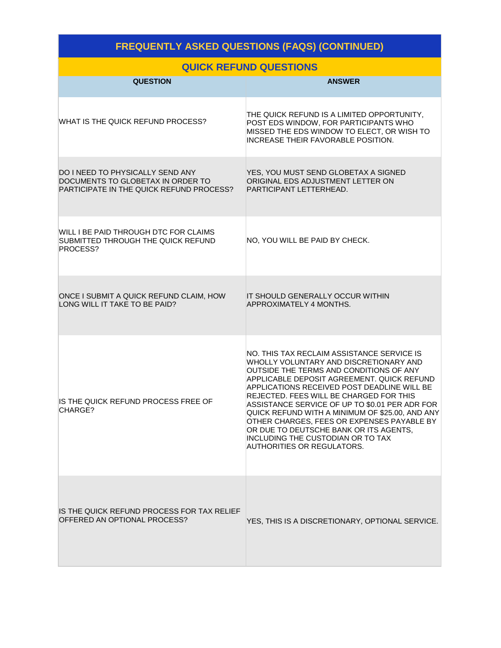## **FREQUENTLY ASKED QUESTIONS (FAQS) (CONTINUED)**

#### **QUICK REFUND QUESTIONS**

| <b>QUESTION</b>                                                                                                          | <b>ANSWER</b>                                                                                                                                                                                                                                                                                                                                                                                                                                                                                                                                  |
|--------------------------------------------------------------------------------------------------------------------------|------------------------------------------------------------------------------------------------------------------------------------------------------------------------------------------------------------------------------------------------------------------------------------------------------------------------------------------------------------------------------------------------------------------------------------------------------------------------------------------------------------------------------------------------|
| WHAT IS THE QUICK REFUND PROCESS?                                                                                        | THE QUICK REFUND IS A LIMITED OPPORTUNITY,<br>POST EDS WINDOW, FOR PARTICIPANTS WHO<br>MISSED THE EDS WINDOW TO ELECT, OR WISH TO<br><b>INCREASE THEIR FAVORABLE POSITION.</b>                                                                                                                                                                                                                                                                                                                                                                 |
| <b>DO I NEED TO PHYSICALLY SEND ANY</b><br>DOCUMENTS TO GLOBETAX IN ORDER TO<br>PARTICIPATE IN THE QUICK REFUND PROCESS? | YES, YOU MUST SEND GLOBETAX A SIGNED<br>ORIGINAL EDS ADJUSTMENT LETTER ON<br>PARTICIPANT LETTERHEAD.                                                                                                                                                                                                                                                                                                                                                                                                                                           |
| WILL I BE PAID THROUGH DTC FOR CLAIMS<br>SUBMITTED THROUGH THE QUICK REFUND<br>PROCESS?                                  | NO, YOU WILL BE PAID BY CHECK.                                                                                                                                                                                                                                                                                                                                                                                                                                                                                                                 |
| ONCE I SUBMIT A QUICK REFUND CLAIM, HOW<br>LONG WILL IT TAKE TO BE PAID?                                                 | IT SHOULD GENERALLY OCCUR WITHIN<br>APPROXIMATELY 4 MONTHS.                                                                                                                                                                                                                                                                                                                                                                                                                                                                                    |
| IS THE QUICK REFUND PROCESS FREE OF<br>CHARGE?                                                                           | NO. THIS TAX RECLAIM ASSISTANCE SERVICE IS<br>WHOLLY VOLUNTARY AND DISCRETIONARY AND<br>OUTSIDE THE TERMS AND CONDITIONS OF ANY<br>APPLICABLE DEPOSIT AGREEMENT. QUICK REFUND<br>APPLICATIONS RECEIVED POST DEADLINE WILL BE<br>REJECTED. FEES WILL BE CHARGED FOR THIS<br>ASSISTANCE SERVICE OF UP TO \$0.01 PER ADR FOR<br>QUICK REFUND WITH A MINIMUM OF \$25.00, AND ANY<br>OTHER CHARGES, FEES OR EXPENSES PAYABLE BY<br>OR DUE TO DEUTSCHE BANK OR ITS AGENTS,<br>INCLUDING THE CUSTODIAN OR TO TAX<br><b>AUTHORITIES OR REGULATORS.</b> |
| IS THE QUICK REFUND PROCESS FOR TAX RELIEF<br>OFFERED AN OPTIONAL PROCESS?                                               | YES, THIS IS A DISCRETIONARY, OPTIONAL SERVICE.                                                                                                                                                                                                                                                                                                                                                                                                                                                                                                |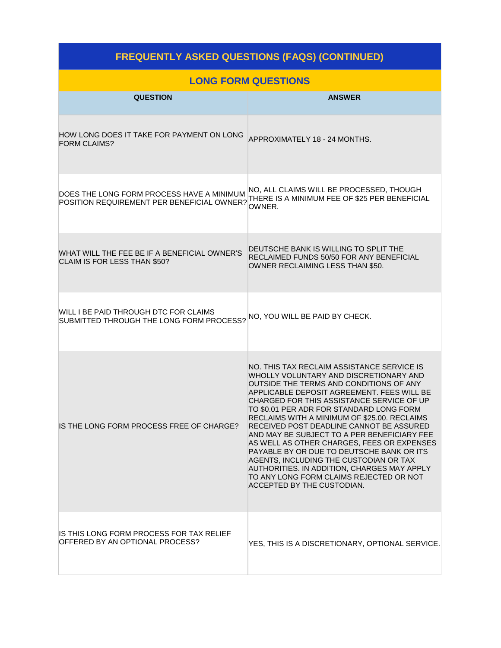| <b>FREQUENTLY ASKED QUESTIONS (FAQS) (CONTINUED)</b>                                    |                                                                                                                                                                                                                                                                                                                                                                                                                                                                                                                                                                                                                                                                                |  |  |
|-----------------------------------------------------------------------------------------|--------------------------------------------------------------------------------------------------------------------------------------------------------------------------------------------------------------------------------------------------------------------------------------------------------------------------------------------------------------------------------------------------------------------------------------------------------------------------------------------------------------------------------------------------------------------------------------------------------------------------------------------------------------------------------|--|--|
|                                                                                         | <b>LONG FORM QUESTIONS</b>                                                                                                                                                                                                                                                                                                                                                                                                                                                                                                                                                                                                                                                     |  |  |
| <b>QUESTION</b>                                                                         | <b>ANSWER</b>                                                                                                                                                                                                                                                                                                                                                                                                                                                                                                                                                                                                                                                                  |  |  |
| HOW LONG DOES IT TAKE FOR PAYMENT ON LONG<br><b>FORM CLAIMS?</b>                        | APPROXIMATELY 18 - 24 MONTHS.                                                                                                                                                                                                                                                                                                                                                                                                                                                                                                                                                                                                                                                  |  |  |
| DOES THE LONG FORM PROCESS HAVE A MINIMUM<br>POSITION REQUIREMENT PER BENEFICIAL OWNER? | NO, ALL CLAIMS WILL BE PROCESSED, THOUGH<br>THERE IS A MINIMUM FEE OF \$25 PER BENEFICIAL<br>OWNER.                                                                                                                                                                                                                                                                                                                                                                                                                                                                                                                                                                            |  |  |
| WHAT WILL THE FEE BE IF A BENEFICIAL OWNER'S<br>CLAIM IS FOR LESS THAN \$50?            | DEUTSCHE BANK IS WILLING TO SPLIT THE<br>RECLAIMED FUNDS 50/50 FOR ANY BENEFICIAL<br>OWNER RECLAIMING LESS THAN \$50.                                                                                                                                                                                                                                                                                                                                                                                                                                                                                                                                                          |  |  |
| WILL I BE PAID THROUGH DTC FOR CLAIMS<br>SUBMITTED THROUGH THE LONG FORM PROCESS?       | NO, YOU WILL BE PAID BY CHECK.                                                                                                                                                                                                                                                                                                                                                                                                                                                                                                                                                                                                                                                 |  |  |
| IS THE LONG FORM PROCESS FREE OF CHARGE?                                                | NO. THIS TAX RECLAIM ASSISTANCE SERVICE IS<br>WHOLLY VOLUNTARY AND DISCRETIONARY AND<br>OUTSIDE THE TERMS AND CONDITIONS OF ANY<br>APPLICABLE DEPOSIT AGREEMENT. FEES WILL BE<br>CHARGED FOR THIS ASSISTANCE SERVICE OF UP<br>TO \$0.01 PER ADR FOR STANDARD LONG FORM<br>RECLAIMS WITH A MINIMUM OF \$25.00. RECLAIMS<br>RECEIVED POST DEADLINE CANNOT BE ASSURED<br>AND MAY BE SUBJECT TO A PER BENEFICIARY FEE<br>AS WELL AS OTHER CHARGES, FEES OR EXPENSES<br>PAYABLE BY OR DUE TO DEUTSCHE BANK OR ITS<br>AGENTS, INCLUDING THE CUSTODIAN OR TAX<br>AUTHORITIES. IN ADDITION, CHARGES MAY APPLY<br>TO ANY LONG FORM CLAIMS REJECTED OR NOT<br>ACCEPTED BY THE CUSTODIAN. |  |  |
| IS THIS LONG FORM PROCESS FOR TAX RELIEF<br>OFFERED BY AN OPTIONAL PROCESS?             | YES, THIS IS A DISCRETIONARY, OPTIONAL SERVICE.                                                                                                                                                                                                                                                                                                                                                                                                                                                                                                                                                                                                                                |  |  |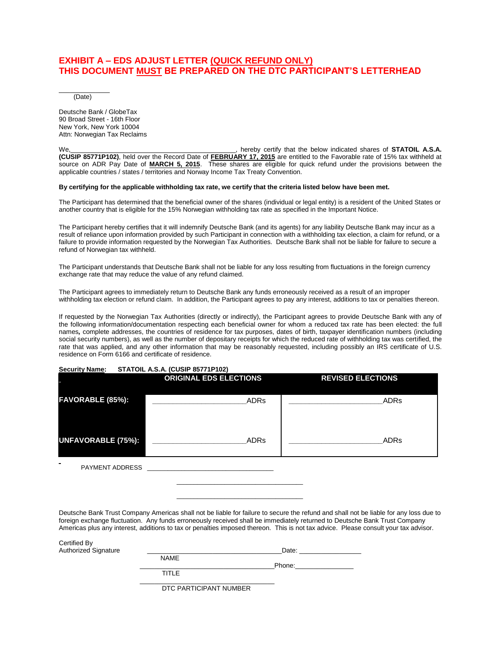#### **EXHIBIT A – EDS ADJUST LETTER (QUICK REFUND ONLY) THIS DOCUMENT MUST BE PREPARED ON THE DTC PARTICIPANT'S LETTERHEAD**

 $\overline{\phantom{a}}$  , where  $\overline{\phantom{a}}$ (Date)

Deutsche Bank / GlobeTax 90 Broad Street - 16th Floor New York, New York 10004 Attn: Norwegian Tax Reclaims

We, <u>the contract of the below indicated shares</u> of **STATOIL A.S.A.** And the second of **STATOIL A.S.A. We (CUSIP 85771P102)**, held over the Record Date of **FEBRUARY 17, 2015** are entitled to the Favorable rate of 15% tax withheld at source on ADR Pay Date of **MARCH 5, 2015**. These shares are eligible for quick refund under the provisions between the applicable countries / states / territories and Norway Income Tax Treaty Convention.

#### **By certifying for the applicable withholding tax rate, we certify that the criteria listed below have been met.**

The Participant has determined that the beneficial owner of the shares (individual or legal entity) is a resident of the United States or another country that is eligible for the 15% Norwegian withholding tax rate as specified in the Important Notice.

The Participant hereby certifies that it will indemnify Deutsche Bank (and its agents) for any liability Deutsche Bank may incur as a result of reliance upon information provided by such Participant in connection with a withholding tax election, a claim for refund, or a failure to provide information requested by the Norwegian Tax Authorities. Deutsche Bank shall not be liable for failure to secure a refund of Norwegian tax withheld.

The Participant understands that Deutsche Bank shall not be liable for any loss resulting from fluctuations in the foreign currency exchange rate that may reduce the value of any refund claimed.

The Participant agrees to immediately return to Deutsche Bank any funds erroneously received as a result of an improper withholding tax election or refund claim. In addition, the Participant agrees to pay any interest, additions to tax or penalties thereon.

If requested by the Norwegian Tax Authorities (directly or indirectly), the Participant agrees to provide Deutsche Bank with any of the following information/documentation respecting each beneficial owner for whom a reduced tax rate has been elected: the full names*,* complete addresses, the countries of residence for tax purposes, dates of birth, taxpayer identification numbers (including social security numbers), as well as the number of depositary receipts for which the reduced rate of withholding tax was certified, the rate that was applied, and any other information that may be reasonably requested, including possibly an IRS certificate of U.S. residence on Form 6166 and certificate of residence.

#### **Security Name: STATOIL A.S.A. (CUSIP 85771P102)**

|                           | <b>ORIGINAL EDS ELECTIONS</b> | <b>REVISED ELECTIONS</b> |
|---------------------------|-------------------------------|--------------------------|
| FAVORABLE (85%):          | <b>ADRs</b>                   | ADRs                     |
| <b>UNFAVORABLE (75%):</b> | <b>ADRs</b>                   | <b>ADRs</b>              |

PAYMENT ADDRESS \_

Deutsche Bank Trust Company Americas shall not be liable for failure to secure the refund and shall not be liable for any loss due to foreign exchange fluctuation. Any funds erroneously received shall be immediately returned to Deutsche Bank Trust Company Americas plus any interest, additions to tax or penalties imposed thereon. This is not tax advice. Please consult your tax advisor.

\_\_\_\_\_\_\_\_\_\_\_\_\_\_\_\_\_\_\_\_\_\_\_\_\_\_\_\_\_\_\_\_\_\_\_\_\_ \_\_\_\_\_\_\_\_\_\_\_\_\_\_\_\_\_\_\_\_\_\_\_\_\_\_\_\_\_\_\_\_\_\_\_\_\_

| Certified By<br><b>Authorized Signature</b> |                          | Date:  |
|---------------------------------------------|--------------------------|--------|
|                                             | <b>NAME</b>              |        |
|                                             |                          | Phone: |
|                                             | <b>TITLE</b>             |        |
|                                             | DTC PARTICIPANT NI IMRER |        |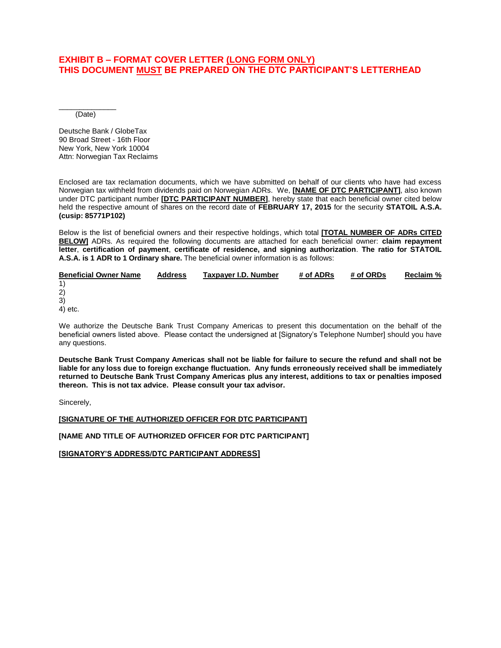#### **EXHIBIT B – FORMAT COVER LETTER (LONG FORM ONLY) THIS DOCUMENT MUST BE PREPARED ON THE DTC PARTICIPANT'S LETTERHEAD**

\_\_\_\_\_\_\_\_\_\_\_\_\_\_ (Date)

Deutsche Bank / GlobeTax 90 Broad Street - 16th Floor New York, New York 10004 Attn: Norwegian Tax Reclaims

Enclosed are tax reclamation documents, which we have submitted on behalf of our clients who have had excess Norwegian tax withheld from dividends paid on Norwegian ADRs. We, **[NAME OF DTC PARTICIPANT]**, also known under DTC participant number **[DTC PARTICIPANT NUMBER]**, hereby state that each beneficial owner cited below held the respective amount of shares on the record date of **FEBRUARY 17, 2015** for the security **STATOIL A.S.A. (cusip: 85771P102)**

Below is the list of beneficial owners and their respective holdings, which total **[TOTAL NUMBER OF ADRs CITED BELOW]** ADRs. As required the following documents are attached for each beneficial owner: **claim repayment letter**, **certification of payment**, **certificate of residence, and signing authorization**. **The ratio for STATOIL A.S.A. is 1 ADR to 1 Ordinary share.** The beneficial owner information is as follows:

| <b>Beneficial Owner Name</b> | <b>Address</b> | Taxpayer I.D. Number | # of ADRs | # of ORDs | Reclaim % |
|------------------------------|----------------|----------------------|-----------|-----------|-----------|
| 1)                           |                |                      |           |           |           |
| 2)                           |                |                      |           |           |           |
| 3)                           |                |                      |           |           |           |
| 4) etc.                      |                |                      |           |           |           |

We authorize the Deutsche Bank Trust Company Americas to present this documentation on the behalf of the beneficial owners listed above. Please contact the undersigned at [Signatory's Telephone Number] should you have any questions.

**Deutsche Bank Trust Company Americas shall not be liable for failure to secure the refund and shall not be liable for any loss due to foreign exchange fluctuation. Any funds erroneously received shall be immediately returned to Deutsche Bank Trust Company Americas plus any interest, additions to tax or penalties imposed thereon. This is not tax advice. Please consult your tax advisor.**

Sincerely,

#### **[SIGNATURE OF THE AUTHORIZED OFFICER FOR DTC PARTICIPANT]**

**[NAME AND TITLE OF AUTHORIZED OFFICER FOR DTC PARTICIPANT]**

**[SIGNATORY'S ADDRESS/DTC PARTICIPANT ADDRESS]**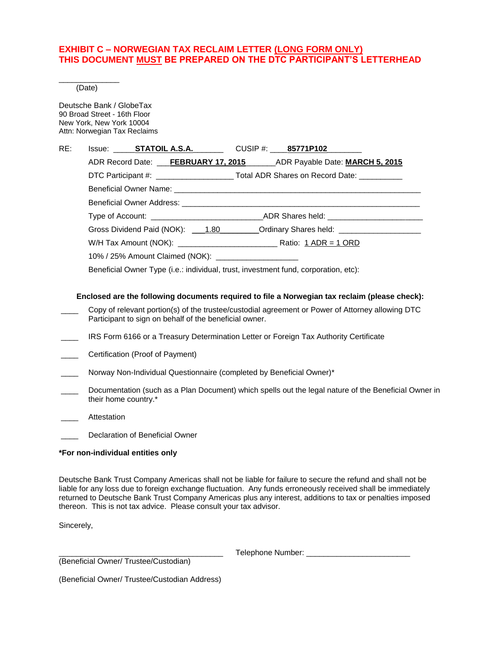#### **EXHIBIT C – NORWEGIAN TAX RECLAIM LETTER (LONG FORM ONLY) THIS DOCUMENT MUST BE PREPARED ON THE DTC PARTICIPANT'S LETTERHEAD**

\_\_\_\_\_\_\_\_\_\_\_\_\_\_ (Date)

Deutsche Bank / GlobeTax 90 Broad Street - 16th Floor New York, New York 10004 Attn: Norwegian Tax Reclaims

| RE: | Issue: <b>STATOIL A.S.A.</b> CUSIP #: 85771P102                                                                 |  |
|-----|-----------------------------------------------------------------------------------------------------------------|--|
|     | ADR Record Date: ___FEBRUARY 17, 2015__________ADR Payable Date: MARCH 5, 2015                                  |  |
|     | DTC Participant #: _______________________Total ADR Shares on Record Date: __________                           |  |
|     |                                                                                                                 |  |
|     |                                                                                                                 |  |
|     | Type of Account: _____________________________ADR Shares held: _________________                                |  |
|     | Gross Dividend Paid (NOK): 1.80 Cromody Shares held: 2.0 Cross Dividend Paid (NOK): 2.0 Cross Common Contractor |  |
|     |                                                                                                                 |  |
|     | 10% / 25% Amount Claimed (NOK): ______________________                                                          |  |
|     | Beneficial Owner Type (i.e.: individual, trust, investment fund, corporation, etc):                             |  |

#### **Enclosed are the following documents required to file a Norwegian tax reclaim (please check):**

- Copy of relevant portion(s) of the trustee/custodial agreement or Power of Attorney allowing DTC Participant to sign on behalf of the beneficial owner.
- \_\_\_\_ IRS Form 6166 or a Treasury Determination Letter or Foreign Tax Authority Certificate
- \_\_\_\_ Certification (Proof of Payment)
- Norway Non-Individual Questionnaire (completed by Beneficial Owner)\*
- Documentation (such as a Plan Document) which spells out the legal nature of the Beneficial Owner in their home country.\*
- \_\_\_\_ Attestation

Declaration of Beneficial Owner

#### **\*For non-individual entities only**

Deutsche Bank Trust Company Americas shall not be liable for failure to secure the refund and shall not be liable for any loss due to foreign exchange fluctuation. Any funds erroneously received shall be immediately returned to Deutsche Bank Trust Company Americas plus any interest, additions to tax or penalties imposed thereon. This is not tax advice. Please consult your tax advisor.

Sincerely,

Telephone Number: \_\_\_\_\_

(Beneficial Owner/ Trustee/Custodian)

(Beneficial Owner/ Trustee/Custodian Address)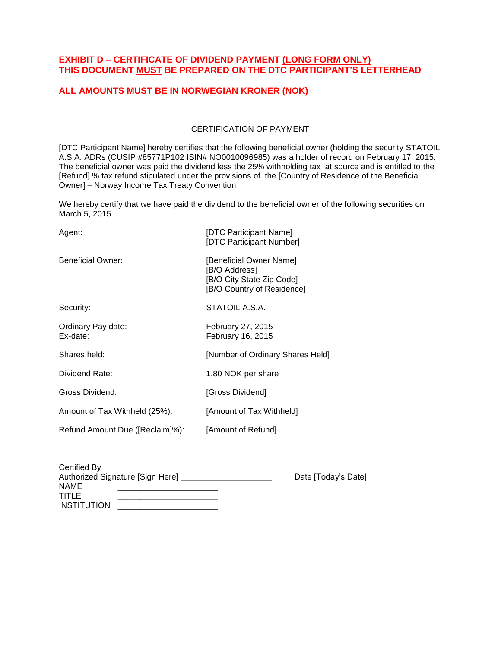#### **EXHIBIT D – CERTIFICATE OF DIVIDEND PAYMENT (LONG FORM ONLY) THIS DOCUMENT MUST BE PREPARED ON THE DTC PARTICIPANT'S LETTERHEAD**

#### **ALL AMOUNTS MUST BE IN NORWEGIAN KRONER (NOK)**

#### CERTIFICATION OF PAYMENT

[DTC Participant Name] hereby certifies that the following beneficial owner (holding the security STATOIL A.S.A. ADRs (CUSIP #85771P102 ISIN# NO0010096985) was a holder of record on February 17, 2015. The beneficial owner was paid the dividend less the 25% withholding tax at source and is entitled to the [Refund] % tax refund stipulated under the provisions of the [Country of Residence of the Beneficial Owner] – Norway Income Tax Treaty Convention

We hereby certify that we have paid the dividend to the beneficial owner of the following securities on March 5, 2015.

| Agent:                          | [DTC Participant Name]<br>[DTC Participant Number]                                                  |
|---------------------------------|-----------------------------------------------------------------------------------------------------|
| <b>Beneficial Owner:</b>        | [Beneficial Owner Name]<br>[B/O Address]<br>[B/O City State Zip Code]<br>[B/O Country of Residence] |
| Security:                       | STATOIL A.S.A.                                                                                      |
| Ordinary Pay date:<br>Ex-date:  | <b>February 27, 2015</b><br>February 16, 2015                                                       |
| Shares held:                    | [Number of Ordinary Shares Held]                                                                    |
| Dividend Rate:                  | 1.80 NOK per share                                                                                  |
| Gross Dividend:                 | [Gross Dividend]                                                                                    |
| Amount of Tax Withheld (25%):   | [Amount of Tax Withheld]                                                                            |
| Refund Amount Due ([Reclaim]%): | [Amount of Refund]                                                                                  |

| Certified By                     |                     |
|----------------------------------|---------------------|
| Authorized Signature [Sign Here] | Date [Today's Date] |
| <b>NAME</b>                      |                     |
| TITLE                            |                     |
| <b>INSTITUTION</b>               |                     |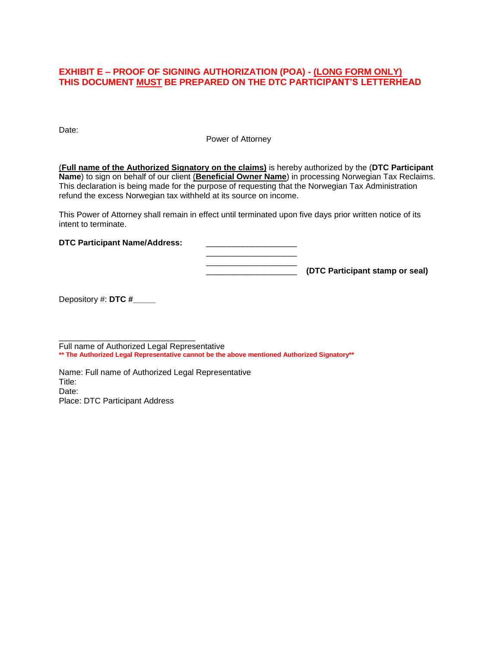#### **EXHIBIT E – PROOF OF SIGNING AUTHORIZATION (POA) - (LONG FORM ONLY) THIS DOCUMENT MUST BE PREPARED ON THE DTC PARTICIPANT'S LETTERHEAD**

Date:

Power of Attorney

(**Full name of the Authorized Signatory on the claims)** is hereby authorized by the (**DTC Participant Name**) to sign on behalf of our client (**Beneficial Owner Name**) in processing Norwegian Tax Reclaims. This declaration is being made for the purpose of requesting that the Norwegian Tax Administration refund the excess Norwegian tax withheld at its source on income.

This Power of Attorney shall remain in effect until terminated upon five days prior written notice of its intent to terminate.

\_\_\_\_\_\_\_\_\_\_\_\_\_\_\_\_\_\_\_\_

**DTC Participant Name/Address:** 

\_\_\_\_\_\_\_\_\_\_\_\_\_\_\_\_\_\_\_\_ \_\_\_\_\_\_\_\_\_\_\_\_\_\_\_\_\_\_\_\_ **(DTC Participant stamp or seal)**

Depository #: **DTC #\_\_\_\_\_**

\_\_\_\_\_\_\_\_\_\_\_\_\_\_\_\_\_\_\_\_\_\_\_\_\_\_\_\_\_\_ Full name of Authorized Legal Representative **\*\* The Authorized Legal Representative cannot be the above mentioned Authorized Signatory\*\***

Name: Full name of Authorized Legal Representative Title: Date: Place: DTC Participant Address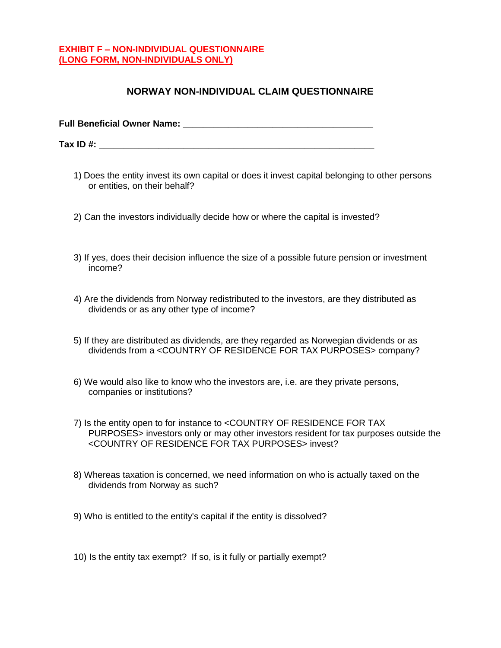#### **EXHIBIT F – NON-INDIVIDUAL QUESTIONNAIRE (LONG FORM, NON-INDIVIDUALS ONLY)**

#### **NORWAY NON-INDIVIDUAL CLAIM QUESTIONNAIRE**

**Full Beneficial Owner Name: \_\_\_\_\_\_\_\_\_\_\_\_\_\_\_\_\_\_\_\_\_\_\_\_\_\_\_\_\_\_\_\_\_\_\_\_\_\_**

**Tax ID #:**  $\blacksquare$ 

- 1) Does the entity invest its own capital or does it invest capital belonging to other persons or entities, on their behalf?
- 2) Can the investors individually decide how or where the capital is invested?
- 3) If yes, does their decision influence the size of a possible future pension or investment income?
- 4) Are the dividends from Norway redistributed to the investors, are they distributed as dividends or as any other type of income?
- 5) If they are distributed as dividends, are they regarded as Norwegian dividends or as dividends from a <COUNTRY OF RESIDENCE FOR TAX PURPOSES> company?
- 6) We would also like to know who the investors are, i.e. are they private persons, companies or institutions?
- 7) Is the entity open to for instance to <COUNTRY OF RESIDENCE FOR TAX PURPOSES> investors only or may other investors resident for tax purposes outside the <COUNTRY OF RESIDENCE FOR TAX PURPOSES> invest?
- 8) Whereas taxation is concerned, we need information on who is actually taxed on the dividends from Norway as such?
- 9) Who is entitled to the entity's capital if the entity is dissolved?
- 10) Is the entity tax exempt? If so, is it fully or partially exempt?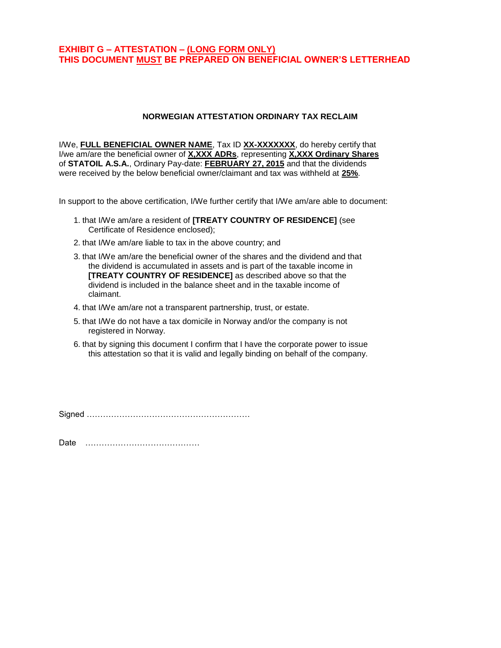#### **EXHIBIT G – ATTESTATION – (LONG FORM ONLY) THIS DOCUMENT MUST BE PREPARED ON BENEFICIAL OWNER'S LETTERHEAD**

#### **NORWEGIAN ATTESTATION ORDINARY TAX RECLAIM**

I/We, **FULL BENEFICIAL OWNER NAME**, Tax ID **XX-XXXXXXX**, do hereby certify that I/we am/are the beneficial owner of **X,XXX ADRs**, representing **X,XXX Ordinary Shares** of **STATOIL A.S.A.**, Ordinary Pay-date: **FEBRUARY 27, 2015** and that the dividends were received by the below beneficial owner/claimant and tax was withheld at **25%**.

In support to the above certification, I/We further certify that I/We am/are able to document:

- 1. that I/We am/are a resident of **[TREATY COUNTRY OF RESIDENCE]** (see Certificate of Residence enclosed);
- 2. that I/We am/are liable to tax in the above country; and
- 3. that I/We am/are the beneficial owner of the shares and the dividend and that the dividend is accumulated in assets and is part of the taxable income in **[TREATY COUNTRY OF RESIDENCE]** as described above so that the dividend is included in the balance sheet and in the taxable income of claimant.
- 4. that I/We am/are not a transparent partnership, trust, or estate.
- 5. that I/We do not have a tax domicile in Norway and/or the company is not registered in Norway.
- 6. that by signing this document I confirm that I have the corporate power to issue this attestation so that it is valid and legally binding on behalf of the company.

Signed ……………………………………………………

Date ……………………………………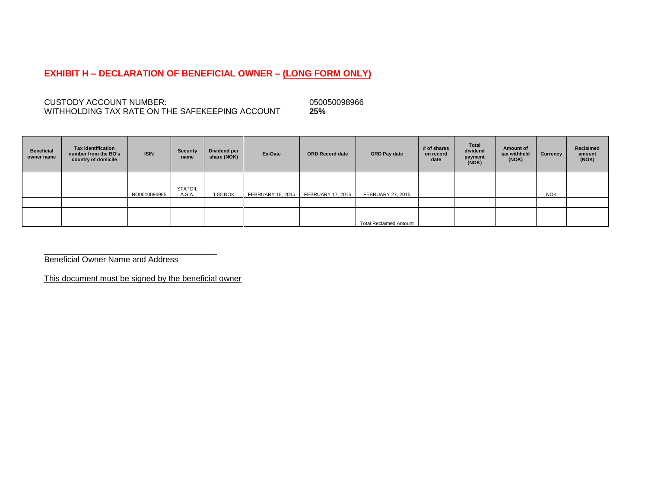#### **EXHIBIT H – DECLARATION OF BENEFICIAL OWNER – (LONG FORM ONLY)**

CUSTODY ACCOUNT NUMBER: 050050098966<br>
WITHHOLDING TAX RATE ON THE SAFEKEEPING ACCOUNT 25% WITHHOLDING TAX RATE ON THE SAFEKEEPING ACCOUNT **25%**

| <b>Beneficial</b><br>owner name | <b>Tax identification</b><br>number from the BO's<br>country of domicile | <b>ISIN</b>  | Security<br>name         | Dividend per<br>share (NOK) | Ex-Date                  | <b>ORD Record date</b>   | ORD Pay date                  | # of shares<br>on record<br>date | <b>Total</b><br>dividend<br>payment<br>(NOK) | Amount of<br>tax withheld<br>(NOK) | Currency   | Reclaimed<br>amount<br>(NOK) |
|---------------------------------|--------------------------------------------------------------------------|--------------|--------------------------|-----------------------------|--------------------------|--------------------------|-------------------------------|----------------------------------|----------------------------------------------|------------------------------------|------------|------------------------------|
|                                 |                                                                          | NO0010096985 | <b>STATOIL</b><br>A.S.A. | 1.80 NOK                    | <b>FEBRUARY 16, 2015</b> | <b>FEBRUARY 17, 2015</b> | <b>FEBRUARY 27, 2015</b>      |                                  |                                              |                                    | <b>NOK</b> |                              |
|                                 |                                                                          |              |                          |                             |                          |                          |                               |                                  |                                              |                                    |            |                              |
|                                 |                                                                          |              |                          |                             |                          |                          |                               |                                  |                                              |                                    |            |                              |
|                                 |                                                                          |              |                          |                             |                          |                          | <b>Total Reclaimed Amount</b> |                                  |                                              |                                    |            |                              |

\_\_\_\_\_\_\_\_\_\_\_\_\_\_\_\_\_\_\_\_\_\_\_\_\_\_\_\_\_\_\_\_\_\_\_\_\_\_ Beneficial Owner Name and Address

This document must be signed by the beneficial owner